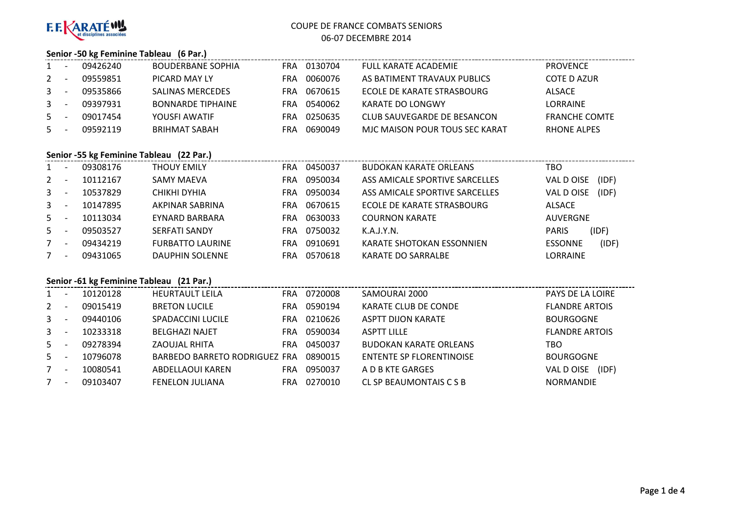

#### **Senior -50 kg Feminine Tableau (6 Par.)**

|                | 09426240 | <b>BOUDERBANE SOPHIA</b> | FRA | 0130704 | FULL KARATE ACADEMIE           | <b>PROVENCE</b>      |
|----------------|----------|--------------------------|-----|---------|--------------------------------|----------------------|
| $2^{\circ}$    | 09559851 | PICARD MAY LY            | FRA | 0060076 | AS BATIMENT TRAVAUX PUBLICS    | <b>COTE D AZUR</b>   |
| 3 <sup>1</sup> | 09535866 | <b>SALINAS MERCEDES</b>  | FRA | 0670615 | ECOLE DE KARATE STRASBOURG     | <b>ALSACE</b>        |
| $\mathbf{3}$   | 09397931 | <b>BONNARDE TIPHAINE</b> | FRA | 0540062 | KARATE DO LONGWY               | <b>LORRAINE</b>      |
| 5.             | 09017454 | YOUSFI AWATIF            | FRA | 0250635 | CLUB SAUVEGARDE DE BESANCON    | <b>FRANCHE COMTE</b> |
| 5              | 09592119 | BRIHMAT SABAH            | FRA | 0690049 | MJC MAISON POUR TOUS SEC KARAT | <b>RHONE ALPES</b>   |

#### **Senior -55 kg Feminine Tableau (22 Par.)**

| 1              | 09308176 | <b>THOUY EMILY</b>      | FRA | 0450037 | <b>BUDOKAN KARATE ORLEANS</b>  | тво                     |
|----------------|----------|-------------------------|-----|---------|--------------------------------|-------------------------|
| $2^{\circ}$    | 10112167 | SAMY MAEVA              | FRA | 0950034 | ASS AMICALE SPORTIVE SARCELLES | (IDF)<br>VAL DOISE      |
| 3 <sup>7</sup> | 10537829 | CHIKHI DYHIA            | FRA | 0950034 | ASS AMICALE SPORTIVE SARCELLES | (IDF)<br>VAL D OISE     |
| $3^{\circ}$    | 10147895 | AKPINAR SABRINA         | FRA | 0670615 | ECOLE DE KARATE STRASBOURG     | <b>ALSACE</b>           |
| $5 -$          | 10113034 | EYNARD BARBARA          | FRA | 0630033 | <b>COURNON KARATE</b>          | <b>AUVERGNE</b>         |
| $5 -$          | 09503527 | SERFATI SANDY           | FRA | 0750032 | K.A.J.Y.N.                     | (IDF)<br><b>PARIS</b>   |
|                | 09434219 | <b>FURBATTO LAURINE</b> | FRA | 0910691 | KARATE SHOTOKAN ESSONNIEN      | (IDF)<br><b>ESSONNE</b> |
|                | 09431065 | <b>DAUPHIN SOLENNE</b>  | FRA | 0570618 | <b>KARATE DO SARRALBE</b>      | <b>LORRAINE</b>         |

## **Senior -61 kg Feminine Tableau (21 Par.)**

| $1 \quad$    | 10120128 | <b>HEURTAULT LEILA</b>        | FRA | 0720008 | SAMOURAI 2000                   | <b>PAYS DE LA LOIRE</b> |
|--------------|----------|-------------------------------|-----|---------|---------------------------------|-------------------------|
| $\mathbf{2}$ | 09015419 | <b>BRETON LUCILE</b>          | FRA | 0590194 | KARATE CLUB DE CONDE            | <b>FLANDRE ARTOIS</b>   |
| $\mathbf{3}$ | 09440106 | SPADACCINI LUCILE             | FRA | 0210626 | <b>ASPTT DIJON KARATE</b>       | <b>BOURGOGNE</b>        |
| $\mathbf{3}$ | 10233318 | <b>BELGHAZI NAJET</b>         | FRA | 0590034 | <b>ASPTT LILLE</b>              | <b>FLANDRE ARTOIS</b>   |
| 5            | 09278394 | ZAOUJAL RHITA                 | FRA | 0450037 | <b>BUDOKAN KARATE ORLEANS</b>   | TBO                     |
| $5 -$        | 10796078 | BARBEDO BARRETO RODRIGUEZ FRA |     | 0890015 | <b>ENTENTE SP FLORENTINOISE</b> | <b>BOURGOGNE</b>        |
|              | 10080541 | ABDELLAOUI KAREN              | FRA | 0950037 | A D B KTE GARGES                | (IDF)<br>VAL D OISE     |
|              | 09103407 | <b>FENELON JULIANA</b>        | FRA | 0270010 | CL SP BEAUMONTAIS C S B         | <b>NORMANDIE</b>        |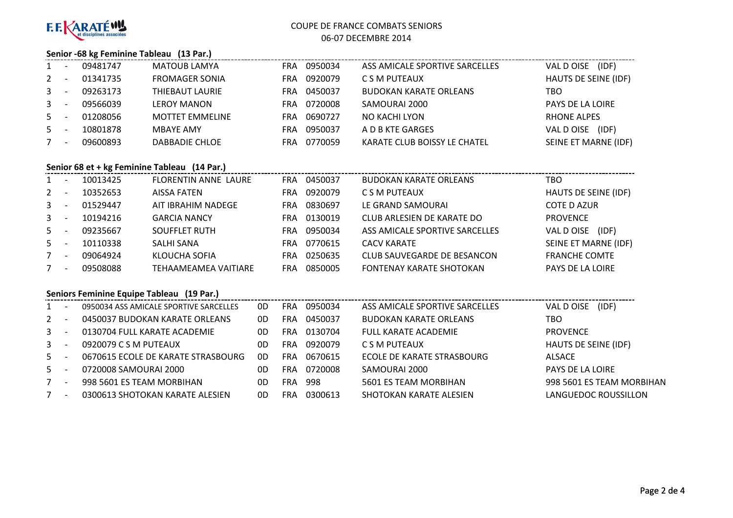

#### **Senior -68 kg Feminine Tableau (13 Par.)**

| $1 \quad$    | 09481747 | <b>MATOUB LAMYA</b>    | <b>FRA</b> | 0950034 | ASS AMICALE SPORTIVE SARCELLES | (IDF)<br>VAL D OISE     |
|--------------|----------|------------------------|------------|---------|--------------------------------|-------------------------|
| 2            | 01341735 | <b>FROMAGER SONIA</b>  | FRA        | 0920079 | C S M PUTEAUX                  | HAUTS DE SEINE (IDF)    |
| $\mathbf{3}$ | 09263173 | THIEBAUT LAURIE        | FRA        | 0450037 | <b>BUDOKAN KARATE ORLEANS</b>  | TBO                     |
| $\mathbf{3}$ | 09566039 | <b>LEROY MANON</b>     | FRA        | 0720008 | SAMOURAI 2000                  | <b>PAYS DE LA LOIRE</b> |
| $5 -$        | 01208056 | <b>MOTTET EMMELINE</b> | FRA        | 0690727 | NO KACHI LYON                  | <b>RHONE ALPES</b>      |
| $5 -$        | 10801878 | MBAYE AMY              | FRA        | 0950037 | A D B KTE GARGES               | (IDF)<br>VAL D OISE     |
|              | 09600893 | DABBADIE CHLOE         | FRA        | 0770059 | KARATE CLUB BOISSY LE CHATEL   | SEINE ET MARNE (IDF)    |

### **Senior 68 et + kg Feminine Tableau (14 Par.)**

| $\mathbf{1}$ | 10013425 | FLORENTIN ANNE LAURE | FRA        | 0450037 | <b>BUDOKAN KARATE ORLEANS</b>  | TBO                  |
|--------------|----------|----------------------|------------|---------|--------------------------------|----------------------|
| $\mathbf{2}$ | 10352653 | AISSA FATEN          | FRA        | 0920079 | C S M PUTEAUX                  | HAUTS DE SEINE (IDF) |
| $\mathbf{3}$ | 01529447 | AIT IBRAHIM NADEGE   | <b>FRA</b> | 0830697 | LE GRAND SAMOURAI              | <b>COTE D AZUR</b>   |
| $3 -$        | 10194216 | <b>GARCIA NANCY</b>  | FRA        | 0130019 | CLUB ARLESIEN DE KARATE DO     | <b>PROVENCE</b>      |
| $5 -$        | 09235667 | <b>SOUFFLET RUTH</b> | FRA        | 0950034 | ASS AMICALE SPORTIVE SARCELLES | (IDF)<br>VAL DOISE   |
| $5 -$        | 10110338 | SALHI SANA           | FRA        | 0770615 | <b>CACV KARATE</b>             | SEINE ET MARNE (IDF) |
| 7            | 09064924 | KLOUCHA SOFIA        | FRA        | 0250635 | CLUB SAUVEGARDE DE BESANCON    | <b>FRANCHE COMTE</b> |
| 7            | 09508088 | TEHAAMEAMEA VAITIARE | FRA        | 0850005 | FONTENAY KARATE SHOTOKAN       | PAYS DE LA LOIRE     |

### **Seniors Feminine Equipe Tableau (19 Par.)**

| $1 \quad$      | 0950034 ASS AMICALE SPORTIVE SARCELLES | 0D | FRA.       | 0950034 | ASS AMICALE SPORTIVE SARCELLES | (IDF)<br>VAL D OISE       |
|----------------|----------------------------------------|----|------------|---------|--------------------------------|---------------------------|
| $\overline{2}$ | 0450037 BUDOKAN KARATE ORLEANS         | 0D | FRA        | 0450037 | <b>BUDOKAN KARATE ORLEANS</b>  | TBO                       |
| $\mathbf{3}$   | 0130704 FULL KARATE ACADEMIE           | 0D | <b>FRA</b> | 0130704 | <b>FULL KARATE ACADEMIE</b>    | <b>PROVENCE</b>           |
| $\mathbf{3}$   | 0920079 C S M PUTEAUX                  | 0D | <b>FRA</b> | 0920079 | C S M PUTEAUX                  | HAUTS DE SEINE (IDF)      |
| $5 -$          | 0670615 ECOLE DE KARATE STRASBOURG     | 0D | <b>FRA</b> | 0670615 | ECOLE DE KARATE STRASBOURG     | ALSACE                    |
| 5              | 0720008 SAMOURAI 2000                  | 0D | FRA        | 0720008 | SAMOURAI 2000                  | PAYS DE LA LOIRE          |
|                | 998 5601 ES TEAM MORBIHAN              | 0D | <b>FRA</b> | 998     | 5601 ES TEAM MORBIHAN          | 998 5601 ES TEAM MORBIHAN |
|                | 0300613 SHOTOKAN KARATE ALESIEN        | 0D | FRA        | 0300613 | SHOTOKAN KARATE ALESIEN        | LANGUEDOC ROUSSILLON      |
|                |                                        |    |            |         |                                |                           |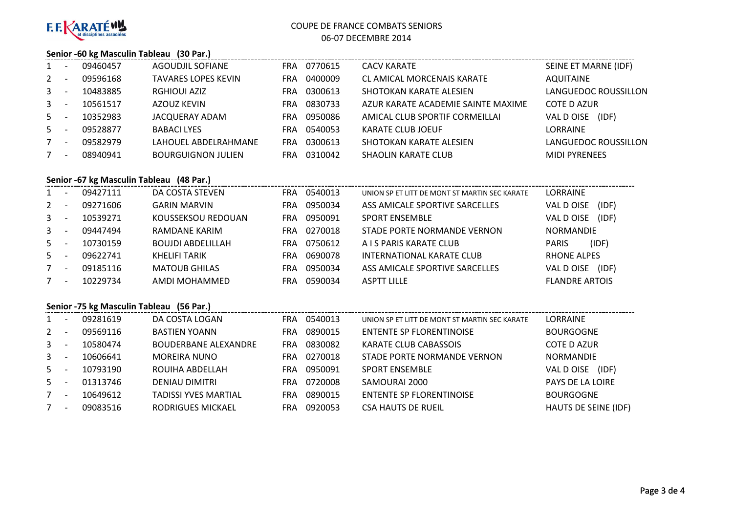

#### **Senior -60 kg Masculin Tableau (30 Par.)**

| $1 \quad$      |                          | 09460457 | AGOUDJIL SOFIANE           | FRA.       | 0770615 | <b>CACV KARATE</b>                 | SEINE ET MARNE (IDF) |
|----------------|--------------------------|----------|----------------------------|------------|---------|------------------------------------|----------------------|
| $2^{\circ}$    |                          | 09596168 | <b>TAVARES LOPES KEVIN</b> | FRA.       | 0400009 | <b>CL AMICAL MORCENAIS KARATE</b>  | <b>AQUITAINE</b>     |
| 3 <sup>7</sup> |                          | 10483885 | <b>RGHIOUI AZIZ</b>        | FRA.       | 0300613 | SHOTOKAN KARATE ALESIEN            | LANGUEDOC ROUSSILLON |
| $3^{\circ}$    | <b>.</b>                 | 10561517 | AZOUZ KEVIN                | <b>FRA</b> | 0830733 | AZUR KARATE ACADEMIE SAINTE MAXIME | <b>COTE D AZUR</b>   |
| $5 -$          |                          | 10352983 | JACQUERAY ADAM             | FRA.       | 0950086 | AMICAL CLUB SPORTIF CORMEILLAI     | (IDF)<br>VAL D OISE  |
| $5 -$          |                          | 09528877 | <b>BABACI LYES</b>         | FRA.       | 0540053 | KARATE CLUB JOEUF                  | LORRAINE             |
| 7              | $\overline{\phantom{a}}$ | 09582979 | LAHOUEL ABDELRAHMANE       | <b>FRA</b> | 0300613 | SHOTOKAN KARATE ALESIEN            | LANGUEDOC ROUSSILLON |
| 7              | $\overline{\phantom{a}}$ | 08940941 | <b>BOURGUIGNON JULIEN</b>  | FRA.       | 0310042 | <b>SHAOLIN KARATE CLUB</b>         | <b>MIDI PYRENEES</b> |

## **Senior -67 kg Masculin Tableau (48 Par.)**

| $1 \quad$   |                          | 09427111 | DA COSTA STEVEN          | FRA | 0540013 | UNION SP ET LITT DE MONT ST MARTIN SEC KARATE | <b>LORRAINE</b>       |
|-------------|--------------------------|----------|--------------------------|-----|---------|-----------------------------------------------|-----------------------|
| $2^{\circ}$ |                          | 09271606 | <b>GARIN MARVIN</b>      | FRA | 0950034 | ASS AMICALE SPORTIVE SARCELLES                | (IDF)<br>VAL D OISE   |
| $3 -$       |                          | 10539271 | KOUSSEKSOU REDOUAN       | FRA | 0950091 | <b>SPORT ENSEMBLE</b>                         | (IDF)<br>VAL D OISE   |
| $3 -$       |                          | 09447494 | RAMDANE KARIM            | FRA | 0270018 | STADE PORTE NORMANDE VERNON                   | <b>NORMANDIE</b>      |
| $5 -$       |                          | 10730159 | <b>BOUJDI ABDELILLAH</b> | FRA | 0750612 | A I S PARIS KARATE CLUB                       | (IDF)<br><b>PARIS</b> |
| $5 -$       |                          | 09622741 | KHELIFI TARIK            | FRA | 0690078 | INTERNATIONAL KARATE CLUB                     | <b>RHONE ALPES</b>    |
|             | $\overline{\phantom{a}}$ | 09185116 | <b>MATOUB GHILAS</b>     | FRA | 0950034 | ASS AMICALE SPORTIVE SARCELLES                | (IDF)<br>VAL D OISE   |
| $7^{\circ}$ |                          | 10229734 | AMDI MOHAMMED            | FRA | 0590034 | <b>ASPTT LILLE</b>                            | <b>FLANDRE ARTOIS</b> |

### **Senior -75 kg Masculin Tableau (56 Par.)**

| $1 \quad$    | 09281619 | DA COSTA LOGAN              | <b>FRA</b> | 0540013 | UNION SP ET LITT DE MONT ST MARTIN SEC KARATE | LORRAINE             |
|--------------|----------|-----------------------------|------------|---------|-----------------------------------------------|----------------------|
| 2            | 09569116 | <b>BASTIEN YOANN</b>        | FRA        | 0890015 | <b>ENTENTE SP FLORENTINOISE</b>               | <b>BOURGOGNE</b>     |
| $\mathbf{3}$ | 10580474 | <b>BOUDERBANE ALEXANDRE</b> | FRA        | 0830082 | <b>KARATE CLUB CABASSOIS</b>                  | COTE D AZUR          |
| $\mathbf{3}$ | 10606641 | <b>MOREIRA NUNO</b>         | <b>FRA</b> | 0270018 | STADE PORTE NORMANDE VERNON                   | <b>NORMANDIE</b>     |
| 5            | 10793190 | ROUIHA ABDELLAH             | FRA        | 0950091 | <b>SPORT ENSEMBLE</b>                         | (IDF)<br>VAL D OISE  |
| 5            | 01313746 | <b>DENIAU DIMITRI</b>       | FRA        | 0720008 | SAMOURAI 2000                                 | PAYS DE LA LOIRE     |
|              | 10649612 | <b>TADISSI YVES MARTIAL</b> | FRA        | 0890015 | <b>ENTENTE SP FLORENTINOISE</b>               | <b>BOURGOGNE</b>     |
|              | 09083516 | RODRIGUES MICKAEL           | FRA        | 0920053 | <b>CSA HAUTS DE RUEIL</b>                     | HAUTS DE SEINE (IDF) |